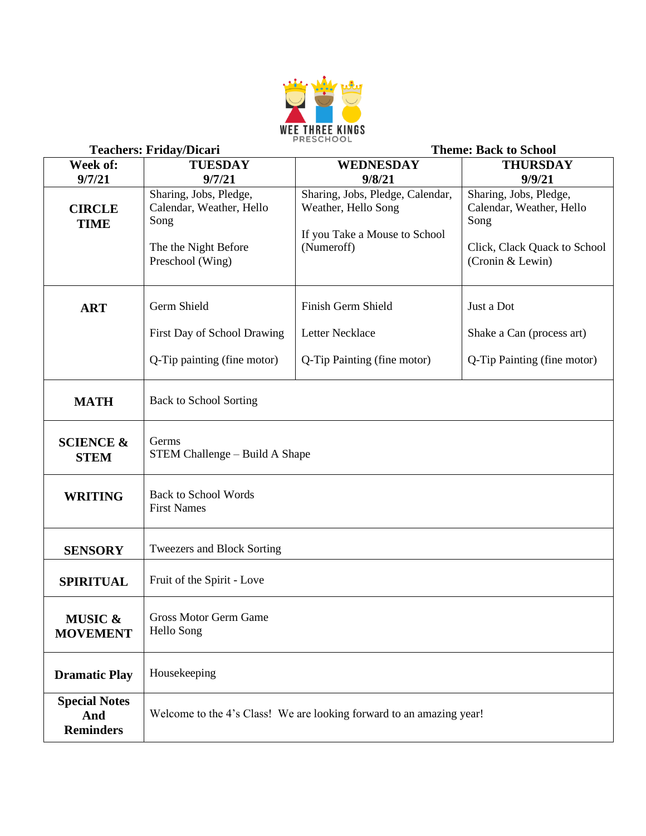

| <b>Teachers: Friday/Dicari</b>                  |                                                                                                        | <b>Theme: Back to School</b>                                                                           |                                                                                                                |  |
|-------------------------------------------------|--------------------------------------------------------------------------------------------------------|--------------------------------------------------------------------------------------------------------|----------------------------------------------------------------------------------------------------------------|--|
| Week of:                                        | <b>TUESDAY</b>                                                                                         | WEDNESDAY                                                                                              | <b>THURSDAY</b>                                                                                                |  |
| 9/7/21                                          | 9/7/21                                                                                                 | 9/8/21                                                                                                 | 9/9/21                                                                                                         |  |
| <b>CIRCLE</b><br><b>TIME</b>                    | Sharing, Jobs, Pledge,<br>Calendar, Weather, Hello<br>Song<br>The the Night Before<br>Preschool (Wing) | Sharing, Jobs, Pledge, Calendar,<br>Weather, Hello Song<br>If you Take a Mouse to School<br>(Numeroff) | Sharing, Jobs, Pledge,<br>Calendar, Weather, Hello<br>Song<br>Click, Clack Quack to School<br>(Cronin & Lewin) |  |
| <b>ART</b>                                      | Germ Shield                                                                                            | Finish Germ Shield                                                                                     | Just a Dot                                                                                                     |  |
|                                                 | First Day of School Drawing                                                                            | Letter Necklace                                                                                        | Shake a Can (process art)                                                                                      |  |
|                                                 | Q-Tip painting (fine motor)                                                                            | Q-Tip Painting (fine motor)                                                                            | Q-Tip Painting (fine motor)                                                                                    |  |
| <b>MATH</b>                                     | <b>Back to School Sorting</b>                                                                          |                                                                                                        |                                                                                                                |  |
| <b>SCIENCE &amp;</b><br><b>STEM</b>             | Germs<br>STEM Challenge – Build A Shape                                                                |                                                                                                        |                                                                                                                |  |
| <b>WRITING</b>                                  | <b>Back to School Words</b><br><b>First Names</b>                                                      |                                                                                                        |                                                                                                                |  |
| <b>SENSORY</b>                                  | Tweezers and Block Sorting                                                                             |                                                                                                        |                                                                                                                |  |
| <b>SPIRITUAL</b>                                | Fruit of the Spirit - Love                                                                             |                                                                                                        |                                                                                                                |  |
| MUSIC &<br><b>MOVEMENT</b>                      | Gross Motor Germ Game<br>Hello Song                                                                    |                                                                                                        |                                                                                                                |  |
| <b>Dramatic Play</b>                            | Housekeeping                                                                                           |                                                                                                        |                                                                                                                |  |
| <b>Special Notes</b><br>And<br><b>Reminders</b> |                                                                                                        | Welcome to the 4's Class! We are looking forward to an amazing year!                                   |                                                                                                                |  |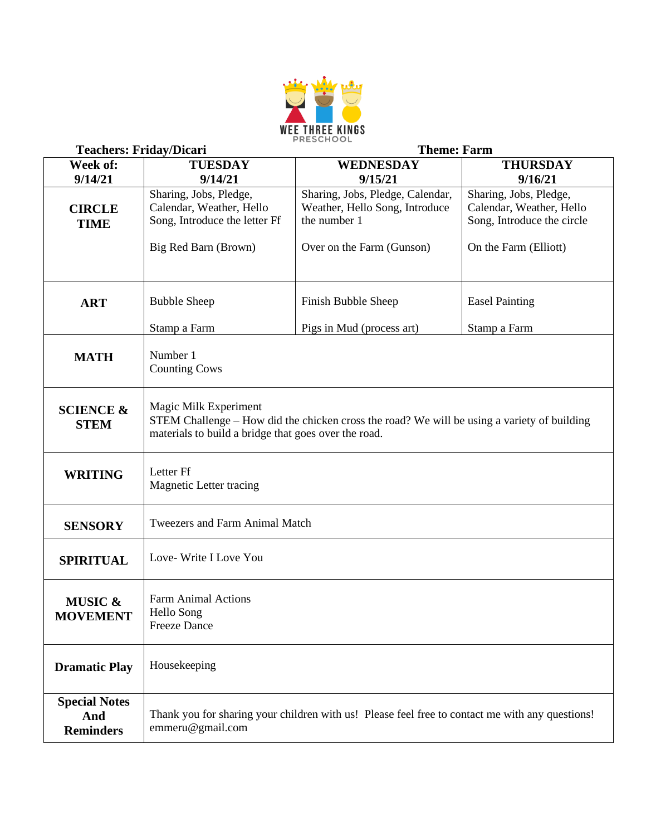

| <b>Teachers: Friday/Dicari</b> |                                                      | <b>Theme: Farm</b>                                                                              |                            |  |
|--------------------------------|------------------------------------------------------|-------------------------------------------------------------------------------------------------|----------------------------|--|
| Week of:                       | <b>TUESDAY</b>                                       | WEDNESDAY                                                                                       | <b>THURSDAY</b>            |  |
| 9/14/21                        | 9/14/21                                              | 9/15/21                                                                                         | 9/16/21                    |  |
|                                | Sharing, Jobs, Pledge,                               | Sharing, Jobs, Pledge, Calendar,                                                                | Sharing, Jobs, Pledge,     |  |
| <b>CIRCLE</b>                  | Calendar, Weather, Hello                             | Weather, Hello Song, Introduce                                                                  | Calendar, Weather, Hello   |  |
| <b>TIME</b>                    | Song, Introduce the letter Ff                        | the number 1                                                                                    | Song, Introduce the circle |  |
|                                |                                                      |                                                                                                 |                            |  |
|                                | Big Red Barn (Brown)                                 | Over on the Farm (Gunson)                                                                       | On the Farm (Elliott)      |  |
|                                |                                                      |                                                                                                 |                            |  |
|                                |                                                      |                                                                                                 |                            |  |
| <b>ART</b>                     | <b>Bubble Sheep</b>                                  | Finish Bubble Sheep                                                                             | <b>Easel Painting</b>      |  |
|                                |                                                      |                                                                                                 |                            |  |
|                                | Stamp a Farm                                         | Pigs in Mud (process art)                                                                       | Stamp a Farm               |  |
|                                | Number 1                                             |                                                                                                 |                            |  |
| <b>MATH</b>                    | <b>Counting Cows</b>                                 |                                                                                                 |                            |  |
|                                |                                                      |                                                                                                 |                            |  |
|                                |                                                      |                                                                                                 |                            |  |
| <b>SCIENCE &amp;</b>           | Magic Milk Experiment                                |                                                                                                 |                            |  |
| <b>STEM</b>                    | materials to build a bridge that goes over the road. | STEM Challenge - How did the chicken cross the road? We will be using a variety of building     |                            |  |
|                                |                                                      |                                                                                                 |                            |  |
|                                |                                                      |                                                                                                 |                            |  |
| <b>WRITING</b>                 | Letter Ff                                            |                                                                                                 |                            |  |
|                                | Magnetic Letter tracing                              |                                                                                                 |                            |  |
|                                |                                                      |                                                                                                 |                            |  |
| <b>SENSORY</b>                 | <b>Tweezers and Farm Animal Match</b>                |                                                                                                 |                            |  |
|                                |                                                      |                                                                                                 |                            |  |
| <b>SPIRITUAL</b>               | Love-Write I Love You                                |                                                                                                 |                            |  |
|                                |                                                      |                                                                                                 |                            |  |
|                                |                                                      |                                                                                                 |                            |  |
| <b>MUSIC &amp;</b>             | <b>Farm Animal Actions</b>                           |                                                                                                 |                            |  |
| <b>MOVEMENT</b>                | Hello Song<br><b>Freeze Dance</b>                    |                                                                                                 |                            |  |
|                                |                                                      |                                                                                                 |                            |  |
|                                |                                                      |                                                                                                 |                            |  |
| <b>Dramatic Play</b>           | Housekeeping                                         |                                                                                                 |                            |  |
|                                |                                                      |                                                                                                 |                            |  |
| <b>Special Notes</b>           |                                                      |                                                                                                 |                            |  |
| And                            |                                                      | Thank you for sharing your children with us! Please feel free to contact me with any questions! |                            |  |
| <b>Reminders</b>               | emmeru@gmail.com                                     |                                                                                                 |                            |  |
|                                |                                                      |                                                                                                 |                            |  |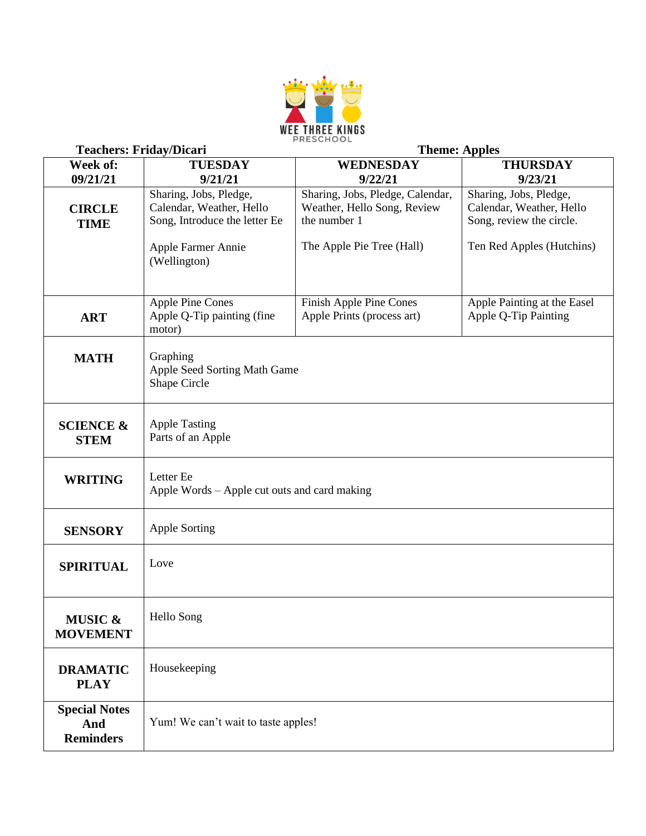

| <b>Teachers: Friday/Dicari</b> |                                              | <b>Theme: Apples</b>             |                             |  |
|--------------------------------|----------------------------------------------|----------------------------------|-----------------------------|--|
| Week of:                       | <b>TUESDAY</b>                               | <b>WEDNESDAY</b>                 | <b>THURSDAY</b>             |  |
| 09/21/21                       | 9/21/21                                      | 9/22/21                          | 9/23/21                     |  |
|                                | Sharing, Jobs, Pledge,                       | Sharing, Jobs, Pledge, Calendar, | Sharing, Jobs, Pledge,      |  |
| <b>CIRCLE</b>                  | Calendar, Weather, Hello                     | Weather, Hello Song, Review      | Calendar, Weather, Hello    |  |
| <b>TIME</b>                    | Song, Introduce the letter Ee                | the number 1                     | Song, review the circle.    |  |
|                                |                                              |                                  |                             |  |
|                                | Apple Farmer Annie                           | The Apple Pie Tree (Hall)        | Ten Red Apples (Hutchins)   |  |
|                                | (Wellington)                                 |                                  |                             |  |
|                                |                                              |                                  |                             |  |
|                                | <b>Apple Pine Cones</b>                      | Finish Apple Pine Cones          | Apple Painting at the Easel |  |
|                                | Apple Q-Tip painting (fine                   | Apple Prints (process art)       | Apple Q-Tip Painting        |  |
| <b>ART</b>                     | motor)                                       |                                  |                             |  |
|                                |                                              |                                  |                             |  |
| <b>MATH</b>                    | Graphing                                     |                                  |                             |  |
|                                | Apple Seed Sorting Math Game                 |                                  |                             |  |
|                                | Shape Circle                                 |                                  |                             |  |
|                                |                                              |                                  |                             |  |
|                                |                                              |                                  |                             |  |
| <b>SCIENCE &amp;</b>           | <b>Apple Tasting</b><br>Parts of an Apple    |                                  |                             |  |
| <b>STEM</b>                    |                                              |                                  |                             |  |
|                                |                                              |                                  |                             |  |
| <b>WRITING</b>                 | Letter Ee                                    |                                  |                             |  |
|                                | Apple Words – Apple cut outs and card making |                                  |                             |  |
|                                |                                              |                                  |                             |  |
|                                | <b>Apple Sorting</b>                         |                                  |                             |  |
| <b>SENSORY</b>                 |                                              |                                  |                             |  |
|                                | Love                                         |                                  |                             |  |
| <b>SPIRITUAL</b>               |                                              |                                  |                             |  |
|                                |                                              |                                  |                             |  |
|                                |                                              |                                  |                             |  |
| MUSIC &                        | Hello Song                                   |                                  |                             |  |
| <b>MOVEMENT</b>                |                                              |                                  |                             |  |
|                                |                                              |                                  |                             |  |
| <b>DRAMATIC</b>                | Housekeeping                                 |                                  |                             |  |
| <b>PLAY</b>                    |                                              |                                  |                             |  |
|                                |                                              |                                  |                             |  |
| <b>Special Notes</b>           |                                              |                                  |                             |  |
| And                            | Yum! We can't wait to taste apples!          |                                  |                             |  |
| <b>Reminders</b>               |                                              |                                  |                             |  |